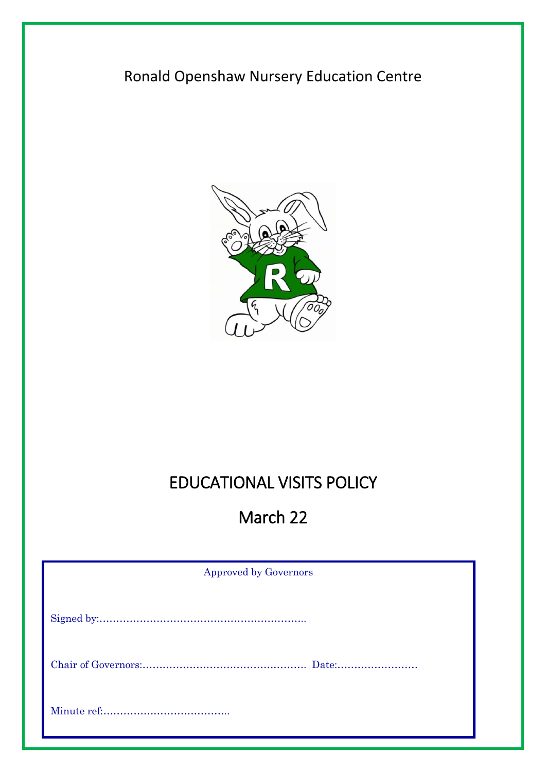## Ronald Openshaw Nursery Education Centre



# EDUCATIONAL VISITS POLICY

## March 22

| <b>Approved by Governors</b> |
|------------------------------|
|                              |
|                              |
|                              |
|                              |
|                              |
|                              |
|                              |
|                              |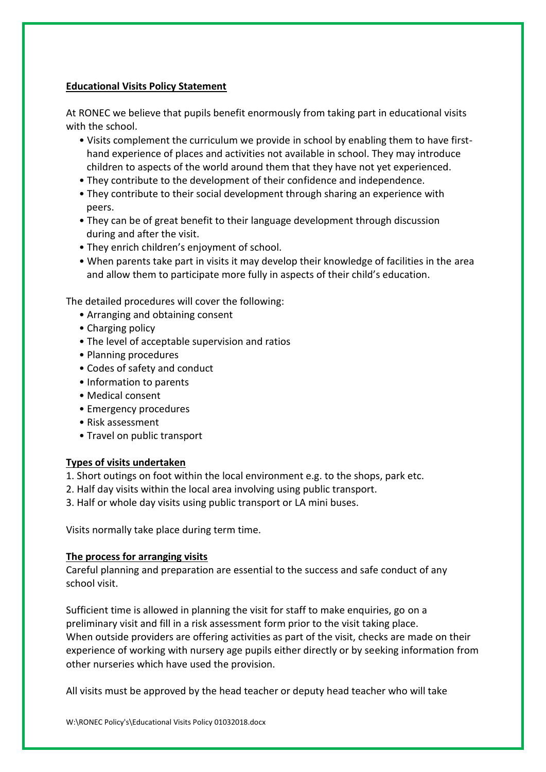## **Educational Visits Policy Statement**

At RONEC we believe that pupils benefit enormously from taking part in educational visits with the school.

- Visits complement the curriculum we provide in school by enabling them to have firsthand experience of places and activities not available in school. They may introduce children to aspects of the world around them that they have not yet experienced.
- They contribute to the development of their confidence and independence.
- They contribute to their social development through sharing an experience with peers.
- They can be of great benefit to their language development through discussion during and after the visit.
- They enrich children's enjoyment of school.
- When parents take part in visits it may develop their knowledge of facilities in the area and allow them to participate more fully in aspects of their child's education.

The detailed procedures will cover the following:

- Arranging and obtaining consent
- Charging policy
- The level of acceptable supervision and ratios
- Planning procedures
- Codes of safety and conduct
- Information to parents
- Medical consent
- Emergency procedures
- Risk assessment
- Travel on public transport

## **Types of visits undertaken**

- 1. Short outings on foot within the local environment e.g. to the shops, park etc.
- 2. Half day visits within the local area involving using public transport.
- 3. Half or whole day visits using public transport or LA mini buses.

Visits normally take place during term time.

## **The process for arranging visits**

Careful planning and preparation are essential to the success and safe conduct of any school visit.

Sufficient time is allowed in planning the visit for staff to make enquiries, go on a preliminary visit and fill in a risk assessment form prior to the visit taking place. When outside providers are offering activities as part of the visit, checks are made on their experience of working with nursery age pupils either directly or by seeking information from other nurseries which have used the provision.

All visits must be approved by the head teacher or deputy head teacher who will take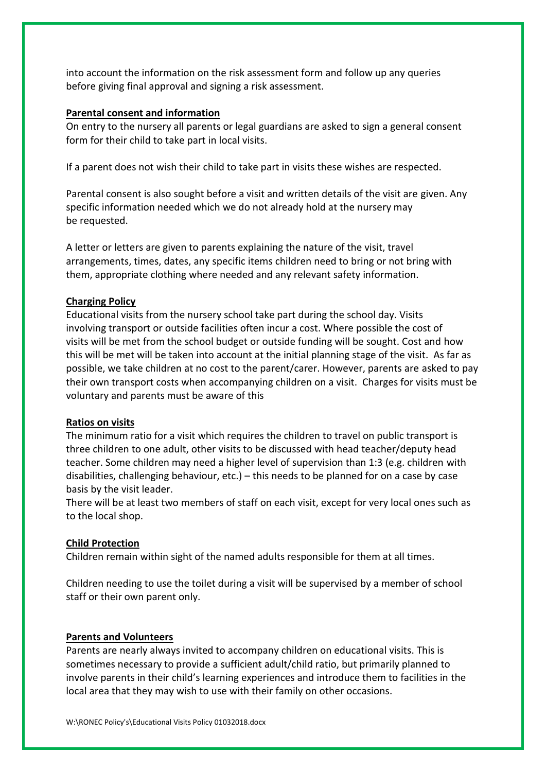into account the information on the risk assessment form and follow up any queries before giving final approval and signing a risk assessment.

#### **Parental consent and information**

On entry to the nursery all parents or legal guardians are asked to sign a general consent form for their child to take part in local visits.

If a parent does not wish their child to take part in visits these wishes are respected.

Parental consent is also sought before a visit and written details of the visit are given. Any specific information needed which we do not already hold at the nursery may be requested.

A letter or letters are given to parents explaining the nature of the visit, travel arrangements, times, dates, any specific items children need to bring or not bring with them, appropriate clothing where needed and any relevant safety information.

## **Charging Policy**

Educational visits from the nursery school take part during the school day. Visits involving transport or outside facilities often incur a cost. Where possible the cost of visits will be met from the school budget or outside funding will be sought. Cost and how this will be met will be taken into account at the initial planning stage of the visit. As far as possible, we take children at no cost to the parent/carer. However, parents are asked to pay their own transport costs when accompanying children on a visit. Charges for visits must be voluntary and parents must be aware of this

#### **Ratios on visits**

The minimum ratio for a visit which requires the children to travel on public transport is three children to one adult, other visits to be discussed with head teacher/deputy head teacher. Some children may need a higher level of supervision than 1:3 (e.g. children with disabilities, challenging behaviour, etc.) – this needs to be planned for on a case by case basis by the visit leader.

There will be at least two members of staff on each visit, except for very local ones such as to the local shop.

## **Child Protection**

Children remain within sight of the named adults responsible for them at all times.

Children needing to use the toilet during a visit will be supervised by a member of school staff or their own parent only.

#### **Parents and Volunteers**

Parents are nearly always invited to accompany children on educational visits. This is sometimes necessary to provide a sufficient adult/child ratio, but primarily planned to involve parents in their child's learning experiences and introduce them to facilities in the local area that they may wish to use with their family on other occasions.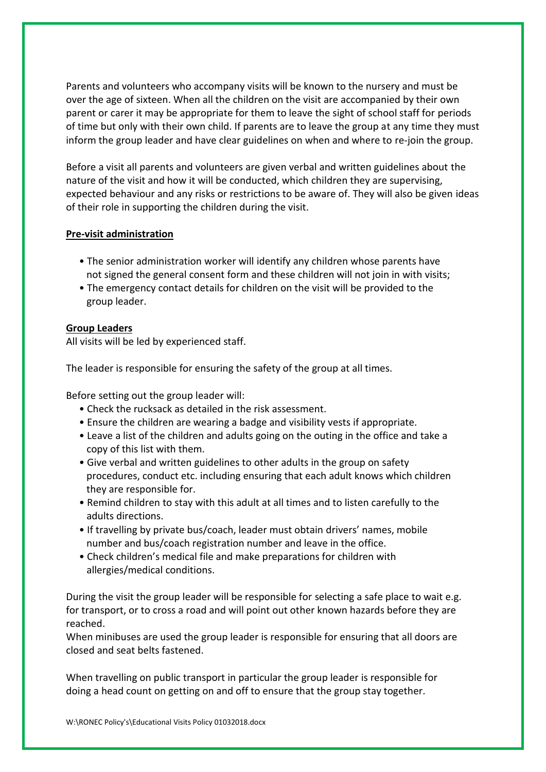Parents and volunteers who accompany visits will be known to the nursery and must be over the age of sixteen. When all the children on the visit are accompanied by their own parent or carer it may be appropriate for them to leave the sight of school staff for periods of time but only with their own child. If parents are to leave the group at any time they must inform the group leader and have clear guidelines on when and where to re-join the group.

Before a visit all parents and volunteers are given verbal and written guidelines about the nature of the visit and how it will be conducted, which children they are supervising, expected behaviour and any risks or restrictions to be aware of. They will also be given ideas of their role in supporting the children during the visit.

## **Pre-visit administration**

- The senior administration worker will identify any children whose parents have not signed the general consent form and these children will not join in with visits;
- The emergency contact details for children on the visit will be provided to the group leader.

## **Group Leaders**

All visits will be led by experienced staff.

The leader is responsible for ensuring the safety of the group at all times.

Before setting out the group leader will:

- Check the rucksack as detailed in the risk assessment.
- Ensure the children are wearing a badge and visibility vests if appropriate.
- Leave a list of the children and adults going on the outing in the office and take a copy of this list with them.
- Give verbal and written guidelines to other adults in the group on safety procedures, conduct etc. including ensuring that each adult knows which children they are responsible for.
- Remind children to stay with this adult at all times and to listen carefully to the adults directions.
- If travelling by private bus/coach, leader must obtain drivers' names, mobile number and bus/coach registration number and leave in the office.
- Check children's medical file and make preparations for children with allergies/medical conditions.

During the visit the group leader will be responsible for selecting a safe place to wait e.g. for transport, or to cross a road and will point out other known hazards before they are reached.

When minibuses are used the group leader is responsible for ensuring that all doors are closed and seat belts fastened.

When travelling on public transport in particular the group leader is responsible for doing a head count on getting on and off to ensure that the group stay together.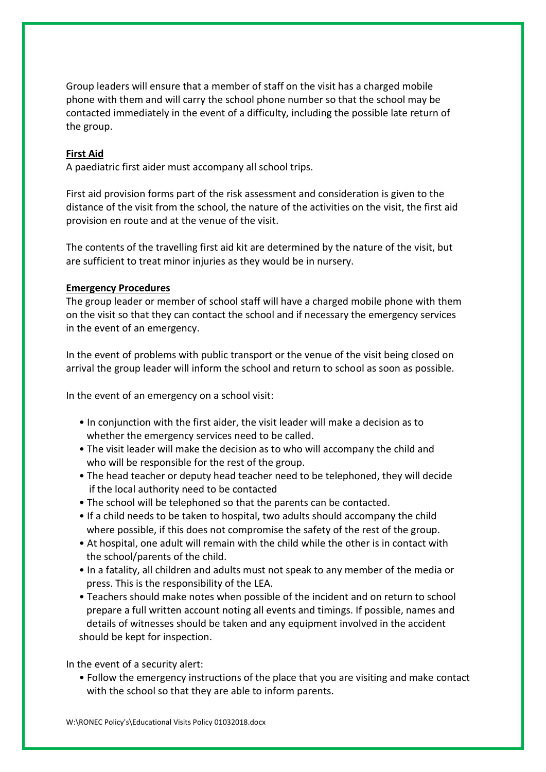Group leaders will ensure that a member of staff on the visit has a charged mobile phone with them and will carry the school phone number so that the school may be contacted immediately in the event of a difficulty, including the possible late return of the group.

## **First Aid**

A paediatric first aider must accompany all school trips.

First aid provision forms part of the risk assessment and consideration is given to the distance of the visit from the school, the nature of the activities on the visit, the first aid provision en route and at the venue of the visit.

The contents of the travelling first aid kit are determined by the nature of the visit, but are sufficient to treat minor injuries as they would be in nursery.

#### **Emergency Procedures**

The group leader or member of school staff will have a charged mobile phone with them on the visit so that they can contact the school and if necessary the emergency services in the event of an emergency.

In the event of problems with public transport or the venue of the visit being closed on arrival the group leader will inform the school and return to school as soon as possible.

In the event of an emergency on a school visit:

- In conjunction with the first aider, the visit leader will make a decision as to whether the emergency services need to be called.
- The visit leader will make the decision as to who will accompany the child and who will be responsible for the rest of the group.
- The head teacher or deputy head teacher need to be telephoned, they will decide if the local authority need to be contacted
- The school will be telephoned so that the parents can be contacted.
- If a child needs to be taken to hospital, two adults should accompany the child where possible, if this does not compromise the safety of the rest of the group.
- At hospital, one adult will remain with the child while the other is in contact with the school/parents of the child.
- In a fatality, all children and adults must not speak to any member of the media or press. This is the responsibility of the LEA.
- Teachers should make notes when possible of the incident and on return to school prepare a full written account noting all events and timings. If possible, names and details of witnesses should be taken and any equipment involved in the accident should be kept for inspection.

In the event of a security alert:

• Follow the emergency instructions of the place that you are visiting and make contact with the school so that they are able to inform parents.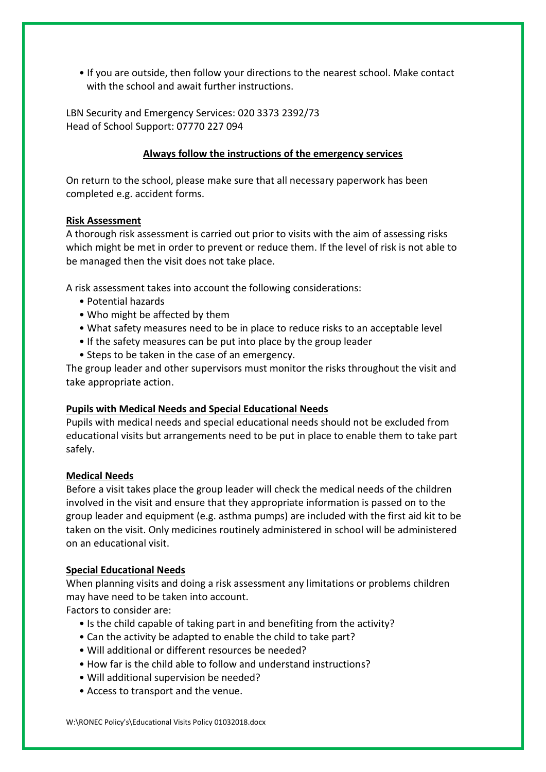• If you are outside, then follow your directions to the nearest school. Make contact with the school and await further instructions.

LBN Security and Emergency Services: 020 3373 2392/73 Head of School Support: 07770 227 094

## **Always follow the instructions of the emergency services**

On return to the school, please make sure that all necessary paperwork has been completed e.g. accident forms.

## **Risk Assessment**

A thorough risk assessment is carried out prior to visits with the aim of assessing risks which might be met in order to prevent or reduce them. If the level of risk is not able to be managed then the visit does not take place.

A risk assessment takes into account the following considerations:

- Potential hazards
- Who might be affected by them
- What safety measures need to be in place to reduce risks to an acceptable level
- If the safety measures can be put into place by the group leader
- Steps to be taken in the case of an emergency.

The group leader and other supervisors must monitor the risks throughout the visit and take appropriate action.

## **Pupils with Medical Needs and Special Educational Needs**

Pupils with medical needs and special educational needs should not be excluded from educational visits but arrangements need to be put in place to enable them to take part safely.

## **Medical Needs**

Before a visit takes place the group leader will check the medical needs of the children involved in the visit and ensure that they appropriate information is passed on to the group leader and equipment (e.g. asthma pumps) are included with the first aid kit to be taken on the visit. Only medicines routinely administered in school will be administered on an educational visit.

## **Special Educational Needs**

When planning visits and doing a risk assessment any limitations or problems children may have need to be taken into account.

Factors to consider are:

- Is the child capable of taking part in and benefiting from the activity?
- Can the activity be adapted to enable the child to take part?
- Will additional or different resources be needed?
- How far is the child able to follow and understand instructions?
- Will additional supervision be needed?
- Access to transport and the venue.

W:\RONEC Policy's\Educational Visits Policy 01032018.docx